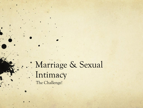Marriage & Sexual Intimacy The Challenge!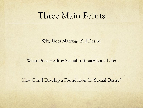#### Three Main Points

Why Does Marriage Kill Desire?

#### What Does Healthy Sexual Intimacy Look Like?

How Can I Develop a Foundation for Sexual Desire?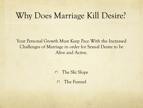#### Why Does Marriage Kill Desire?

Your Personal Growth Must Keep Pace With the Increased Challenges of Marriage in order for Sexual Desire to be Alive and Active.

The Ski Slope

The Funnel  $\bigcap$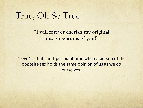#### True, Oh So True!

**"I will forever cherish my original misconceptions of you!"**

"Love" is that short period of time when a person of the opposite sex holds the same opinion of us as we do ourselves.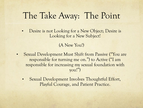# The Take Away: The Point

• Desire is not Looking for a New Object; Desire is Looking for a New Subject!

#### (A New You!)

- Sexual Development Must Shift from Passive ("You are responsible for turning me on.") to Active ("I am responsible for increasing my sexual foundation with you!")
	- Sexual Development Involves Thoughtful Effort, Playful Courage, and Patient Practice.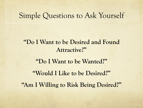#### Simple Questions to Ask Yourself

**"Do I Want to be Desired and Found Attractive?"** 

**"Do I Want to be Wanted?"** 

**"Would I Like to be Desired?"** 

**"Am I Willing to Risk Being Desired?"**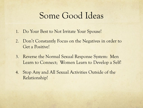### Some Good Ideas

- 1. Do Your Best to Not Irritate Your Spouse!
- 2. Don't Constantly Focus on the Negatives in order to Get a Positive!
- 3. Reverse the Normal Sexual Response System: Men Learn to Connect; Women Learn to Develop a Self!
- 4. Stop Any and All Sexual Activities Outside of the Relationship!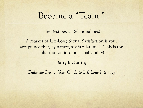# Become a "Team!"

The Best Sex is Relational Sex!

A marker of Life-Long Sexual Satisfaction is your acceptance that, by nature, sex is relational. This is the solid foundation for sexual vitality!

Barry McCarthy

*Enduring Desire: Your Guide to Life-Long Intimacy*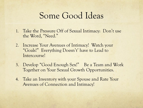# Some Good Ideas

- 1. Take the Pressure Off of Sexual Intimacy: Don't use the Word, "Need."
- 2. Increase Your Avenues of Intimacy! Watch your "Goals!" Everything Doesn't' have to Lead to Intercourse!
- 3. Develop "Good Enough Sex!" Be a Team and Work Together on Your Sexual Growth Opportunities.
- 4. Take an Inventory with your Spouse and Rate Your Avenues of Connection and Intimacy!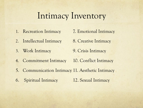# Intimacy Inventory

- 1. Recreation Intimacy 7. Emotional Intimacy
- 2. Intellectual Intimacy 8. Creative Intimacy
- 3. Work Intimacy 9. Crisis Intimacy
- 
- 
- 
- 4. Commitment Intimacy 10. Conflict Intimacy
- 5. Communication Intimacy 11. Aesthetic Intimacy
- 6. Spiritual Intimacy 12. Sexual Intimacy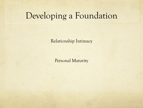### Developing a Foundation

Relationship Intimacy

Personal Maturity